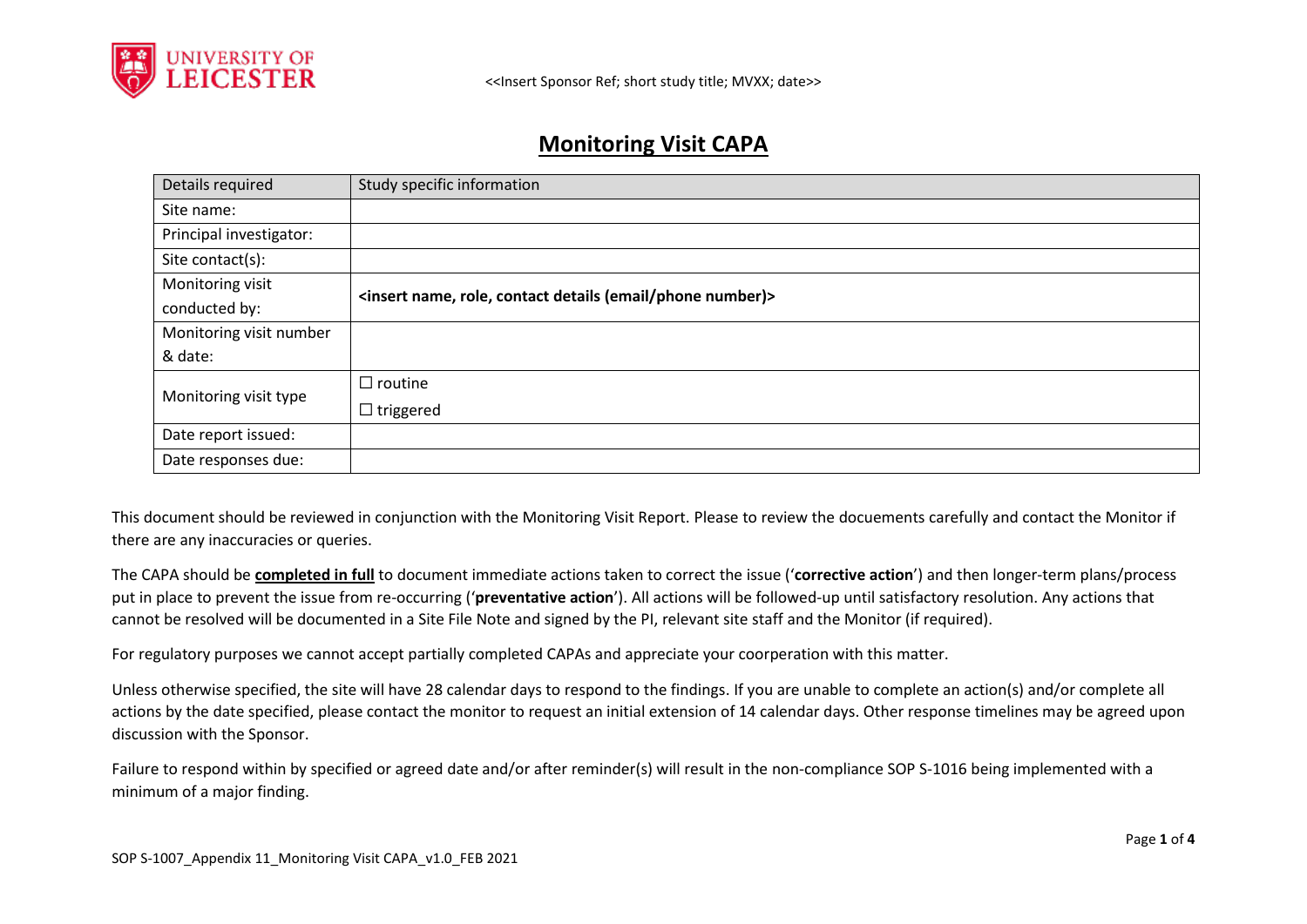

# **Monitoring Visit CAPA**

| Details required        | Study specific information                                                              |
|-------------------------|-----------------------------------------------------------------------------------------|
| Site name:              |                                                                                         |
| Principal investigator: |                                                                                         |
| Site contact(s):        |                                                                                         |
| Monitoring visit        | <insert (email="" contact="" details="" name,="" number)="" phone="" role,=""></insert> |
| conducted by:           |                                                                                         |
| Monitoring visit number |                                                                                         |
| & date:                 |                                                                                         |
| Monitoring visit type   | $\Box$ routine                                                                          |
|                         | $\Box$ triggered                                                                        |
| Date report issued:     |                                                                                         |
| Date responses due:     |                                                                                         |

This document should be reviewed in conjunction with the Monitoring Visit Report. Please to review the docuements carefully and contact the Monitor if there are any inaccuracies or queries.

The CAPA should be **completed in full** to document immediate actions taken to correct the issue ('**corrective action**') and then longer-term plans/process put in place to prevent the issue from re-occurring ('**preventative action**'). All actions will be followed-up until satisfactory resolution. Any actions that cannot be resolved will be documented in a Site File Note and signed by the PI, relevant site staff and the Monitor (if required).

For regulatory purposes we cannot accept partially completed CAPAs and appreciate your coorperation with this matter.

Unless otherwise specified, the site will have 28 calendar days to respond to the findings. If you are unable to complete an action(s) and/or complete all actions by the date specified, please contact the monitor to request an initial extension of 14 calendar days. Other response timelines may be agreed upon discussion with the Sponsor.

Failure to respond within by specified or agreed date and/or after reminder(s) will result in the non-compliance SOP S-1016 being implemented with a minimum of a major finding.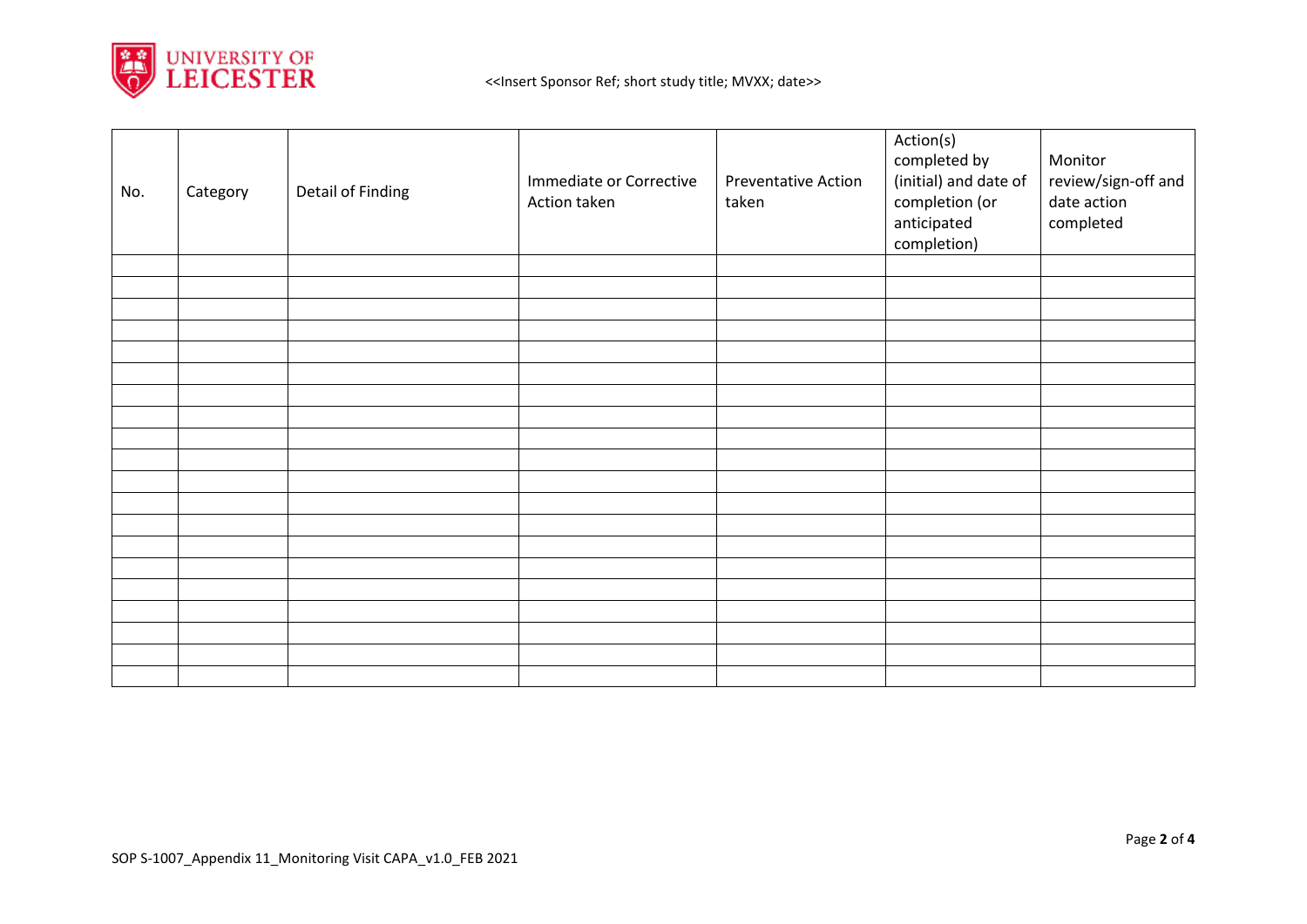

| No. | Category | Detail of Finding | Immediate or Corrective<br>Action taken | <b>Preventative Action</b><br>taken | Action(s)<br>completed by<br>(initial) and date of<br>completion (or<br>anticipated<br>completion) | Monitor<br>review/sign-off and<br>date action<br>completed |
|-----|----------|-------------------|-----------------------------------------|-------------------------------------|----------------------------------------------------------------------------------------------------|------------------------------------------------------------|
|     |          |                   |                                         |                                     |                                                                                                    |                                                            |
|     |          |                   |                                         |                                     |                                                                                                    |                                                            |
|     |          |                   |                                         |                                     |                                                                                                    |                                                            |
|     |          |                   |                                         |                                     |                                                                                                    |                                                            |
|     |          |                   |                                         |                                     |                                                                                                    |                                                            |
|     |          |                   |                                         |                                     |                                                                                                    |                                                            |
|     |          |                   |                                         |                                     |                                                                                                    |                                                            |
|     |          |                   |                                         |                                     |                                                                                                    |                                                            |
|     |          |                   |                                         |                                     |                                                                                                    |                                                            |
|     |          |                   |                                         |                                     |                                                                                                    |                                                            |
|     |          |                   |                                         |                                     |                                                                                                    |                                                            |
|     |          |                   |                                         |                                     |                                                                                                    |                                                            |
|     |          |                   |                                         |                                     |                                                                                                    |                                                            |
|     |          |                   |                                         |                                     |                                                                                                    |                                                            |
|     |          |                   |                                         |                                     |                                                                                                    |                                                            |
|     |          |                   |                                         |                                     |                                                                                                    |                                                            |
|     |          |                   |                                         |                                     |                                                                                                    |                                                            |
|     |          |                   |                                         |                                     |                                                                                                    |                                                            |
|     |          |                   |                                         |                                     |                                                                                                    |                                                            |
|     |          |                   |                                         |                                     |                                                                                                    |                                                            |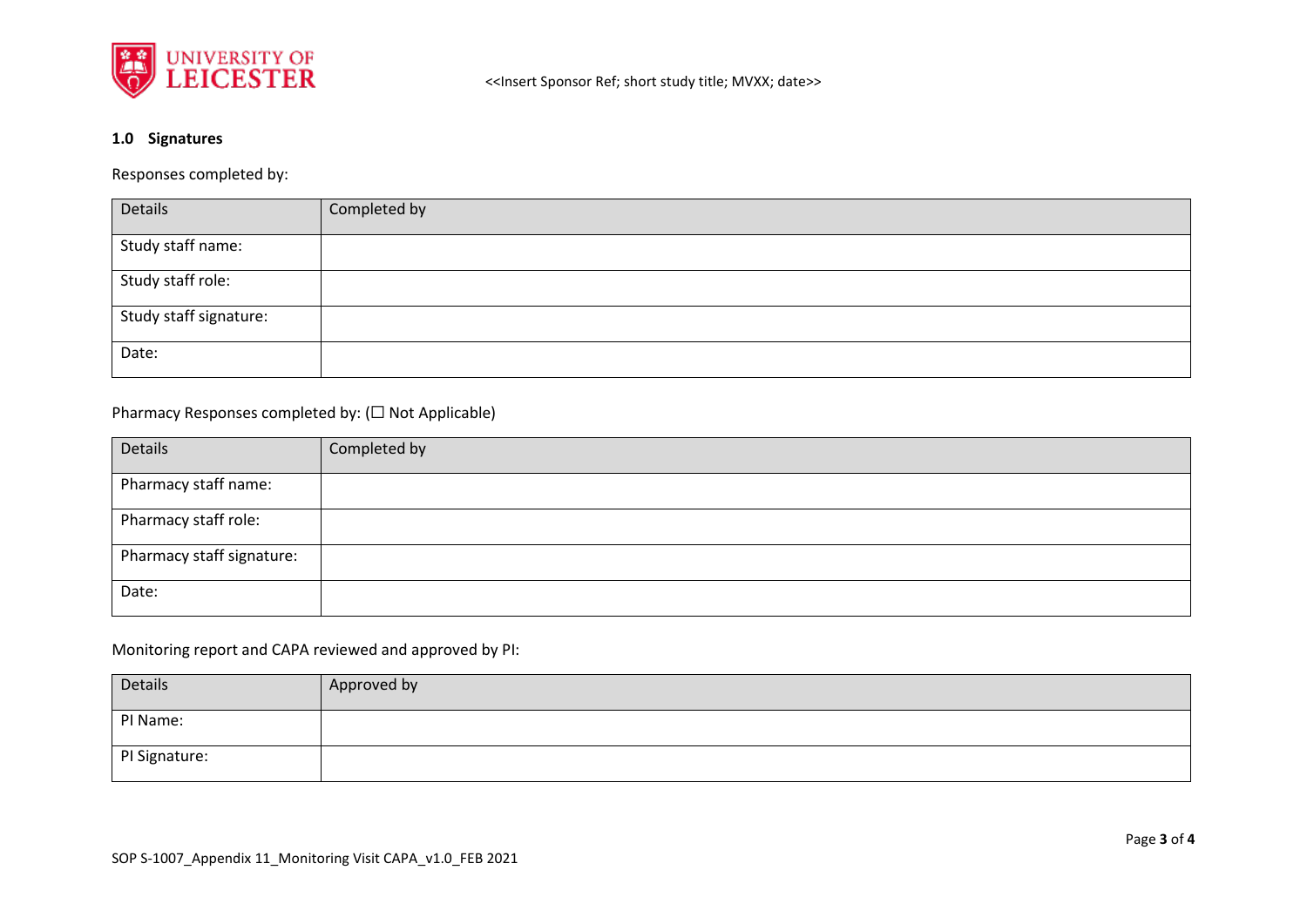

## **1.0 Signatures**

Responses completed by:

| Details                | Completed by |
|------------------------|--------------|
| Study staff name:      |              |
| Study staff role:      |              |
| Study staff signature: |              |
| Date:                  |              |

### Pharmacy Responses completed by: (☐ Not Applicable)

| Details                   | Completed by |
|---------------------------|--------------|
| Pharmacy staff name:      |              |
| Pharmacy staff role:      |              |
| Pharmacy staff signature: |              |
| Date:                     |              |

### Monitoring report and CAPA reviewed and approved by PI:

| Details       | Approved by |
|---------------|-------------|
| PI Name:      |             |
| PI Signature: |             |